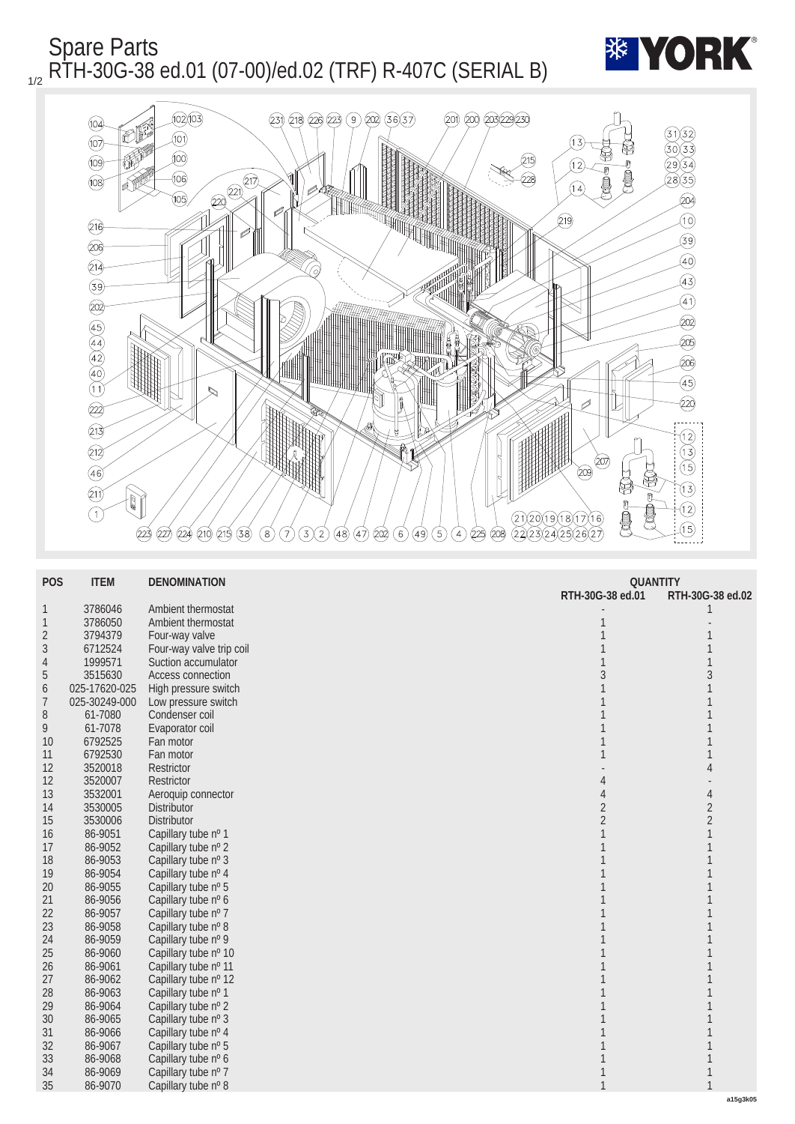Spare Parts <sub>1/2</sub> RTH-30G-38 ed.01 (07-00)/ed.02 (TRF) R-407C (SERIAL B)





| <b>POS</b>       | <b>ITEM</b>   | <b>DENOMINATION</b>        | <b>QUANTITY</b>  |                  |
|------------------|---------------|----------------------------|------------------|------------------|
|                  |               |                            | RTH-30G-38 ed.01 | RTH-30G-38 ed.02 |
| $\mathbf{1}$     | 3786046       | Ambient thermostat         |                  |                  |
| $\mathbf{1}$     | 3786050       | Ambient thermostat         |                  |                  |
| $\boldsymbol{2}$ | 3794379       | Four-way valve             |                  |                  |
| 3                | 6712524       | Four-way valve trip coil   |                  |                  |
| 4                | 1999571       | <b>Suction accumulator</b> |                  | $\mathbf{1}$     |
| $\overline{5}$   | 3515630       | <b>Access connection</b>   |                  | 3                |
| $\boldsymbol{6}$ | 025-17620-025 | High pressure switch       |                  |                  |
| 7                | 025-30249-000 | Low pressure switch        |                  |                  |
| 8                | 61-7080       | Condenser coil             |                  |                  |
| 9                | 61-7078       | Evaporator coil            |                  |                  |
| <b>10</b>        | 6792525       | Fan motor                  |                  |                  |
| 11               | 6792530       | Fan motor                  |                  |                  |
| 12               | 3520018       | <b>Restrictor</b>          |                  | $\overline{4}$   |
| 12               | 3520007       | <b>Restrictor</b>          | 4                |                  |
| 13               | 3532001       | Aeroquip connector         |                  | $\overline{4}$   |
| 14               | 3530005       | <b>Distributor</b>         | $\boldsymbol{2}$ | $\overline{c}$   |
| 15               | 3530006       | <b>Distributor</b>         | $\overline{2}$   | $\boldsymbol{2}$ |
| 16               | 86-9051       | Capillary tube nº 1        |                  | 1                |
| 17               | 86-9052       | Capillary tube nº 2        |                  |                  |
| 18               | 86-9053       | Capillary tube nº 3        |                  |                  |
| 19               | 86-9054       | Capillary tube nº 4        |                  |                  |
| 20               | 86-9055       | Capillary tube nº 5        |                  |                  |
| 21               | 86-9056       | Capillary tube nº 6        |                  |                  |
| 22               | 86-9057       | Capillary tube nº 7        |                  |                  |
| 23               | 86-9058       | Capillary tube nº 8        |                  |                  |
| 24               | 86-9059       | Capillary tube nº 9        |                  |                  |
| 25               | 86-9060       | Capillary tube nº 10       |                  |                  |
| 26               | 86-9061       | Capillary tube nº 11       |                  |                  |
| 27               | 86-9062       | Capillary tube nº 12       |                  |                  |
| 28               | 86-9063       | Capillary tube nº 1        |                  |                  |
| 29               | 86-9064       | Capillary tube nº 2        |                  |                  |
| 30               | 86-9065       | Capillary tube nº 3        |                  |                  |
| 31               | 86-9066       | Capillary tube nº 4        |                  |                  |
| 32               | 86-9067       | Capillary tube nº 5        |                  |                  |
| 33               | 86-9068       | Capillary tube nº 6        |                  |                  |
| 34               | 86-9069       | Capillary tube nº 7        |                  |                  |
| 35               | 86-9070       | Capillary tube nº 8        |                  |                  |
|                  |               |                            |                  | a15g3k05         |